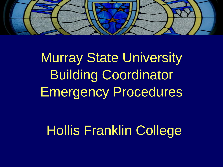

# Murray State University Building Coordinator Emergency Procedures

## Hollis Franklin College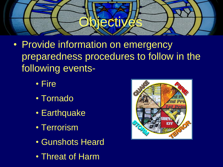

- Provide information on emergency preparedness procedures to follow in the following events-
	- Fire
	- Tornado
	- Earthquake
	- Terrorism
	- Gunshots Heard
	- Threat of Harm

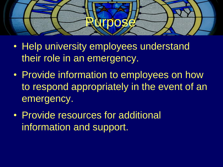

- Help university employees understand their role in an emergency.
- Provide information to employees on how to respond appropriately in the event of an emergency.
- Provide resources for additional information and support.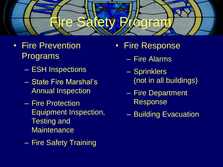

#### • Fire Prevention Programs

- ESH Inspections
- State Fire Marshal's Annual Inspection
- Fire Protection Equipment Inspection, Testing and **Maintenance**
- Fire Safety Training
- Fire Response
	- Fire Alarms
	- Sprinklers (not in all buildings)
	- Fire Department Response
	- Building Evacuation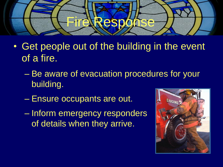

- Get people out of the building in the event of a fire.
	- Be aware of evacuation procedures for your building.
	- Ensure occupants are out.
	- Inform emergency responders of details when they arrive.

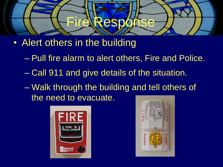

- Alert others in the building
	- Pull fire alarm to alert others, Fire and Police.
	- Call 911 and give details of the situation.
	- Walk through the building and tell others of the need to evacuate.



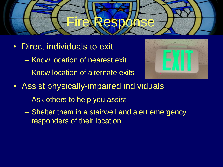

- Direct individuals to exit
	- Know location of nearest exit
	- Know location of alternate exits



- Assist physically-impaired individuals
	- Ask others to help you assist
	- Shelter them in a stairwell and alert emergency responders of their location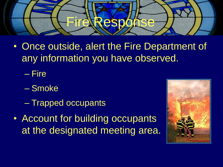

• Once outside, alert the Fire Department of any information you have observed.

– Fire

- Smoke
- Trapped occupants
- Account for building occupants at the designated meeting area.

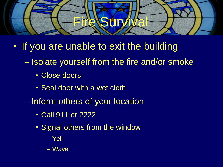

- If you are unable to exit the building
	- Isolate yourself from the fire and/or smoke
		- Close doors
		- Seal door with a wet cloth
	- Inform others of your location
		- Call 911 or 2222
		- Signal others from the window
			- Yell
			- Wave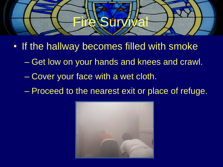

- If the hallway becomes filled with smoke
	- Get low on your hands and knees and crawl.
	- Cover your face with a wet cloth.
	- Proceed to the nearest exit or place of refuge.

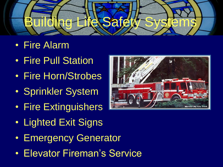

- Fire Alarm
- Fire Pull Station
- Fire Horn/Strobes
- Sprinkler System
- Fire Extinguishers
- Lighted Exit Signs
- Emergency Generator
- Elevator Fireman's Service

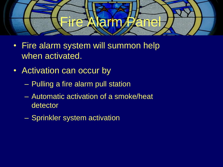

- Fire alarm system will summon help when activated.
- Activation can occur by
	- Pulling a fire alarm pull station
	- Automatic activation of a smoke/heat detector
	- Sprinkler system activation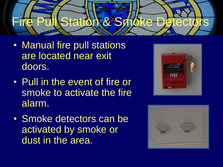

- Manual fire pull stations are located near exit doors.
- Pull in the event of fire or smoke to activate the fire alarm.
- Smoke detectors can be activated by smoke or dust in the area.



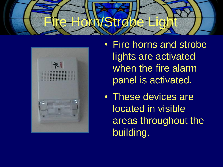



- Fire horns and strobe lights are activated when the fire alarm panel is activated.
- These devices are located in visible areas throughout the building.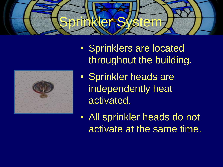



- Sprinklers are located throughout the building.
- Sprinkler heads are independently heat activated.
- All sprinkler heads do not activate at the same time.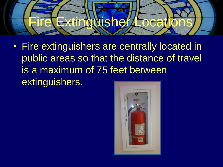

• Fire extinguishers are centrally located in public areas so that the distance of travel is a maximum of 75 feet between extinguishers.

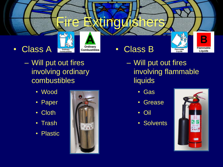

- Will put out fires involving ordinary combustibles
	- Wood
	- Paper
	- Cloth
	- Trash
	- Plastic



- Will put out fires involving flammable liquids
	- Gas
	- Grease
	- Oil
	- Solvents

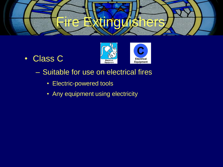

• Class C



- Suitable for use on electrical fires
	- Electric-powered tools
	- Any equipment using electricity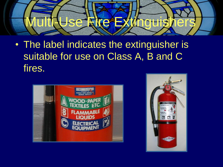

• The label indicates the extinguisher is suitable for use on Class A, B and C fires.



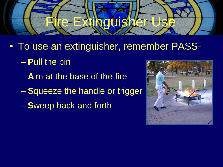

- To use an extinguisher, remember PASS-
	- **P**ull the pin
	- **A**im at the base of the fire
	- **S**queeze the handle or trigger
	- **S**weep back and forth

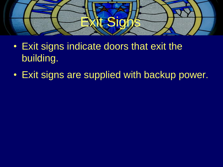

- Exit signs indicate doors that exit the building.
- Exit signs are supplied with backup power.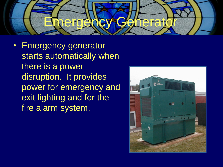

• Emergency generator starts automatically when there is a power disruption. It provides power for emergency and exit lighting and for the fire alarm system.

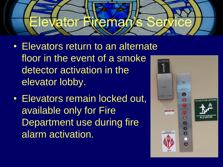

- Elevators return to an alternate floor in the event of a smoke detector activation in the elevator lobby.
- Elevators remain locked out, available only for Fire Department use during fire alarm activation.

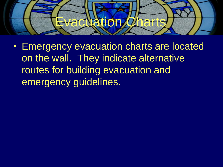

• Emergency evacuation charts are located on the wall. They indicate alternative routes for building evacuation and emergency guidelines.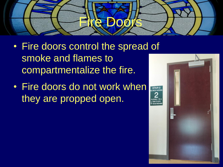

- Fire doors control the spread of smoke and flames to compartmentalize the fire.
- Fire doors do not work when they are propped open.

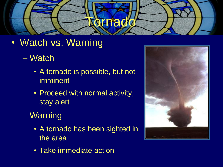

- Watch vs. Warning
	- Watch
		- A tornado is possible, but not imminent
		- Proceed with normal activity, stay alert
	- Warning
		- A tornado has been sighted in the area
		- Take immediate action

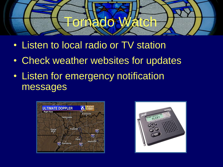

- Listen to local radio or TV station
- Check weather websites for updates
- Listen for emergency notification messages



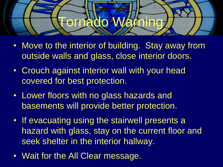

- Move to the interior of building. Stay away from outside walls and glass, close interior doors.
- Crouch against interior wall with your head covered for best protection.
- Lower floors with no glass hazards and basements will provide better protection.
- If evacuating using the stairwell presents a hazard with glass, stay on the current floor and seek shelter in the interior hallway.
- Wait for the All Clear message.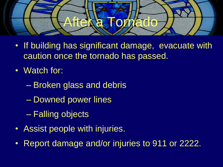

- If building has significant damage, evacuate with caution once the tornado has passed.
- Watch for:
	- Broken glass and debris
	- Downed power lines
	- Falling objects
- Assist people with injuries.
- Report damage and/or injuries to 911 or 2222.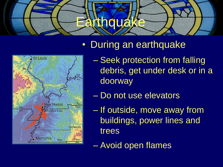



### • During an earthquake

- Seek protection from falling debris, get under desk or in a doorway
- Do not use elevators
- If outside, move away from buildings, power lines and trees
- Avoid open flames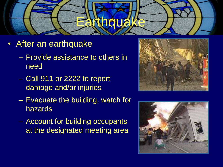

- After an earthquake
	- Provide assistance to others in need
	- Call 911 or 2222 to report damage and/or injuries
	- Evacuate the building, watch for hazards
	- Account for building occupants at the designated meeting area



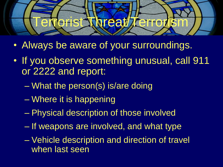

- Always be aware of your surroundings.
- If you observe something unusual, call 911 or 2222 and report:
	- What the person(s) is/are doing
	- Where it is happening
	- Physical description of those involved
	- If weapons are involved, and what type
	- Vehicle description and direction of travel when last seen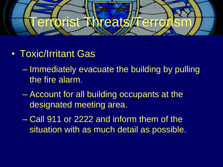

- Toxic/Irritant Gas
	- Immediately evacuate the building by pulling the fire alarm.
	- Account for all building occupants at the designated meeting area.
	- Call 911 or 2222 and inform them of the situation with as much detail as possible.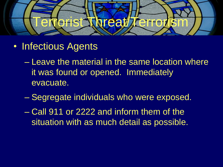

- Infectious Agents
	- Leave the material in the same location where it was found or opened. Immediately evacuate.
	- Segregate individuals who were exposed.
	- Call 911 or 2222 and inform them of the situation with as much detail as possible.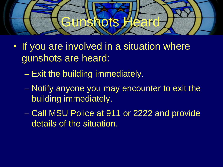

- If you are involved in a situation where gunshots are heard:
	- Exit the building immediately.
	- Notify anyone you may encounter to exit the building immediately.
	- Call MSU Police at 911 or 2222 and provide details of the situation.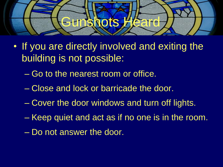

- If you are directly involved and exiting the building is not possible:
	- Go to the nearest room or office.
	- Close and lock or barricade the door.
	- Cover the door windows and turn off lights.
	- Keep quiet and act as if no one is in the room.
	- Do not answer the door.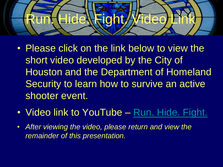

- Please click on the link below to view the short video developed by the City of Houston and the Department of Homeland Security to learn how to survive an active shooter event.
- Video link to YouTube [Run. Hide. Fight.](http://www.youtube.com/watch?v=5VcSwejU2D0)
- *After viewing the video, please return and view the remainder of this presentation.*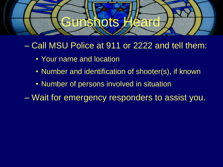

#### – Call MSU Police at 911 or 2222 and tell them:

- Your name and location
- Number and identification of shooter(s), if known
- Number of persons involved in situation

– Wait for emergency responders to assist you.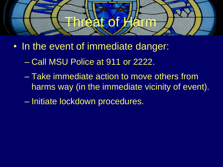

- In the event of immediate danger:
	- Call MSU Police at 911 or 2222.
	- Take immediate action to move others from harms way (in the immediate vicinity of event).
	- Initiate lockdown procedures.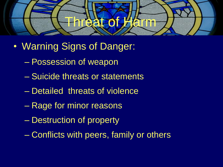

- Warning Signs of Danger:
	- Possession of weapon
	- Suicide threats or statements
	- Detailed threats of violence
	- Rage for minor reasons
	- Destruction of property
	- Conflicts with peers, family or others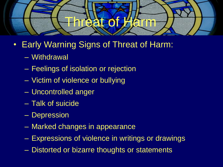

- Early Warning Signs of Threat of Harm:
	- Withdrawal
	- Feelings of isolation or rejection
	- Victim of violence or bullying
	- Uncontrolled anger
	- Talk of suicide
	- Depression
	- Marked changes in appearance
	- Expressions of violence in writings or drawings
	- Distorted or bizarre thoughts or statements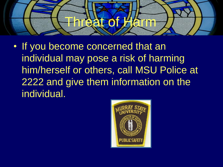

• If you become concerned that an individual may pose a risk of harming him/herself or others, call MSU Police at 2222 and give them information on the individual.

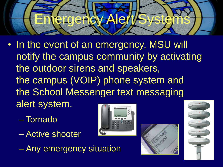

- In the event of an emergency, MSU will notify the campus community by activating the outdoor sirens and speakers, the campus (VOIP) phone system and the School Messenger text messaging alert system.
	- Tornado
	- Active shooter
	- Any emergency situation





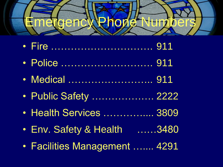

- Fire …………………………. 911
- Police ………………………. 911
- Medical ………………………… 911
- Public Safety ................... 2222
- Health Services ................ 3809
- Env. Safety & Health ……3480
- Facilities Management ….... 4291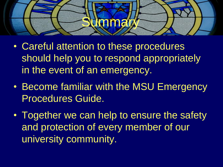

- Careful attention to these procedures should help you to respond appropriately in the event of an emergency.
- Become familiar with the MSU Emergency Procedures Guide.
- Together we can help to ensure the safety and protection of every member of our university community.